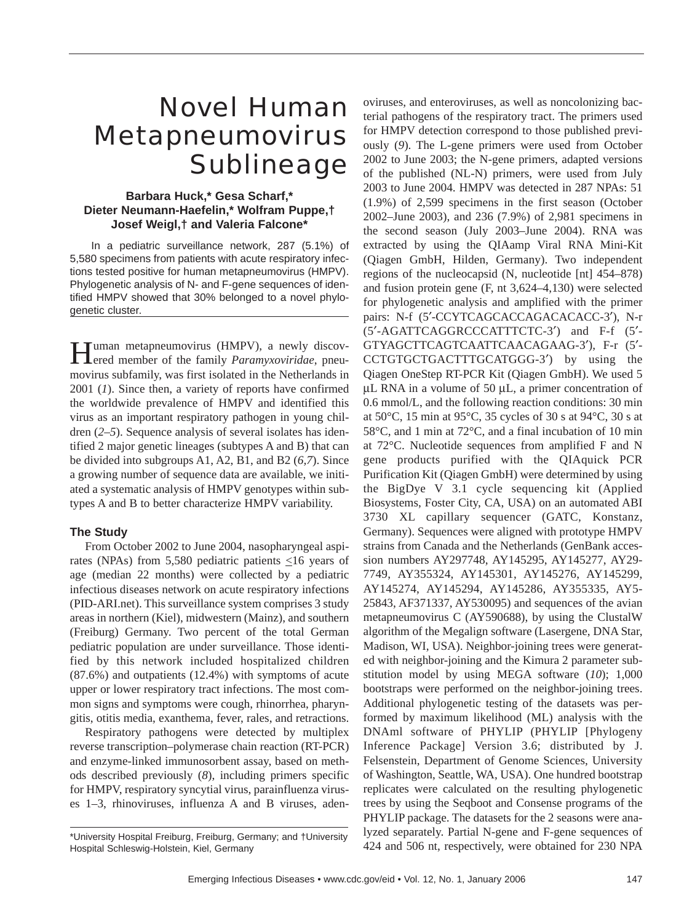# Novel Human Metapneumovirus **Sublineage**

# **Barbara Huck,\* Gesa Scharf,\* Dieter Neumann-Haefelin,\* Wolfram Puppe,† Josef Weigl,† and Valeria Falcone\***

In a pediatric surveillance network, 287 (5.1%) of 5,580 specimens from patients with acute respiratory infections tested positive for human metapneumovirus (HMPV). Phylogenetic analysis of N- and F-gene sequences of identified HMPV showed that 30% belonged to a novel phylogenetic cluster.

Human metapneumovirus (HMPV), a newly discov-<br>ered member of the family *Paramyxoviridae*, pneumovirus subfamily, was first isolated in the Netherlands in 2001 (*1*). Since then, a variety of reports have confirmed the worldwide prevalence of HMPV and identified this virus as an important respiratory pathogen in young children (*2–5*). Sequence analysis of several isolates has identified 2 major genetic lineages (subtypes A and B) that can be divided into subgroups A1, A2, B1, and B2 (*6,7*). Since a growing number of sequence data are available, we initiated a systematic analysis of HMPV genotypes within subtypes A and B to better characterize HMPV variability.

# **The Study**

From October 2002 to June 2004, nasopharyngeal aspirates (NPAs) from 5,580 pediatric patients  $\leq 16$  years of age (median 22 months) were collected by a pediatric infectious diseases network on acute respiratory infections (PID-ARI.net). This surveillance system comprises 3 study areas in northern (Kiel), midwestern (Mainz), and southern (Freiburg) Germany. Two percent of the total German pediatric population are under surveillance. Those identified by this network included hospitalized children (87.6%) and outpatients (12.4%) with symptoms of acute upper or lower respiratory tract infections. The most common signs and symptoms were cough, rhinorrhea, pharyngitis, otitis media, exanthema, fever, rales, and retractions.

Respiratory pathogens were detected by multiplex reverse transcription–polymerase chain reaction (RT-PCR) and enzyme-linked immunosorbent assay, based on methods described previously (*8*), including primers specific for HMPV, respiratory syncytial virus, parainfluenza viruses 1–3, rhinoviruses, influenza A and B viruses, adenoviruses, and enteroviruses, as well as noncolonizing bacterial pathogens of the respiratory tract. The primers used for HMPV detection correspond to those published previously (*9*). The L-gene primers were used from October 2002 to June 2003; the N-gene primers, adapted versions of the published (NL-N) primers, were used from July 2003 to June 2004. HMPV was detected in 287 NPAs: 51 (1.9%) of 2,599 specimens in the first season (October 2002–June 2003), and 236 (7.9%) of 2,981 specimens in the second season (July 2003–June 2004). RNA was extracted by using the QIAamp Viral RNA Mini-Kit (Qiagen GmbH, Hilden, Germany). Two independent regions of the nucleocapsid (N, nucleotide [nt] 454–878) and fusion protein gene (F, nt 3,624–4,130) were selected for phylogenetic analysis and amplified with the primer pairs: N-f (5'-CCYTCAGCACCAGACACACC-3'), N-r (5′-AGATTCAGGRCCCATTTCTC-3′) and F-f (5′- GTYAGCTTCAGTCAATTCAACAGAAG-3′), F-r (5′- CCTGTGCTGACTTTGCATGGG-3′) by using the Qiagen OneStep RT-PCR Kit (Qiagen GmbH). We used 5  $\mu$ L RNA in a volume of 50  $\mu$ L, a primer concentration of 0.6 mmol/L, and the following reaction conditions: 30 min at 50°C, 15 min at 95°C, 35 cycles of 30 s at 94°C, 30 s at 58°C, and 1 min at 72°C, and a final incubation of 10 min at 72°C. Nucleotide sequences from amplified F and N gene products purified with the QIAquick PCR Purification Kit (Qiagen GmbH) were determined by using the BigDye V 3.1 cycle sequencing kit (Applied Biosystems, Foster City, CA, USA) on an automated ABI 3730 XL capillary sequencer (GATC, Konstanz, Germany). Sequences were aligned with prototype HMPV strains from Canada and the Netherlands (GenBank accession numbers AY297748, AY145295, AY145277, AY29- 7749, AY355324, AY145301, AY145276, AY145299, AY145274, AY145294, AY145286, AY355335, AY5- 25843, AF371337, AY530095) and sequences of the avian metapneumovirus C (AY590688), by using the ClustalW algorithm of the Megalign software (Lasergene, DNA Star, Madison, WI, USA). Neighbor-joining trees were generated with neighbor-joining and the Kimura 2 parameter substitution model by using MEGA software (*10*); 1,000 bootstraps were performed on the neighbor-joining trees. Additional phylogenetic testing of the datasets was performed by maximum likelihood (ML) analysis with the DNAml software of PHYLIP (PHYLIP [Phylogeny Inference Package] Version 3.6; distributed by J. Felsenstein, Department of Genome Sciences, University of Washington, Seattle, WA, USA). One hundred bootstrap replicates were calculated on the resulting phylogenetic trees by using the Seqboot and Consense programs of the PHYLIP package. The datasets for the 2 seasons were analyzed separately. Partial N-gene and F-gene sequences of 424 and 506 nt, respectively, were obtained for 230 NPA

<sup>\*</sup>University Hospital Freiburg, Freiburg, Germany; and †University Hospital Schleswig-Holstein, Kiel, Germany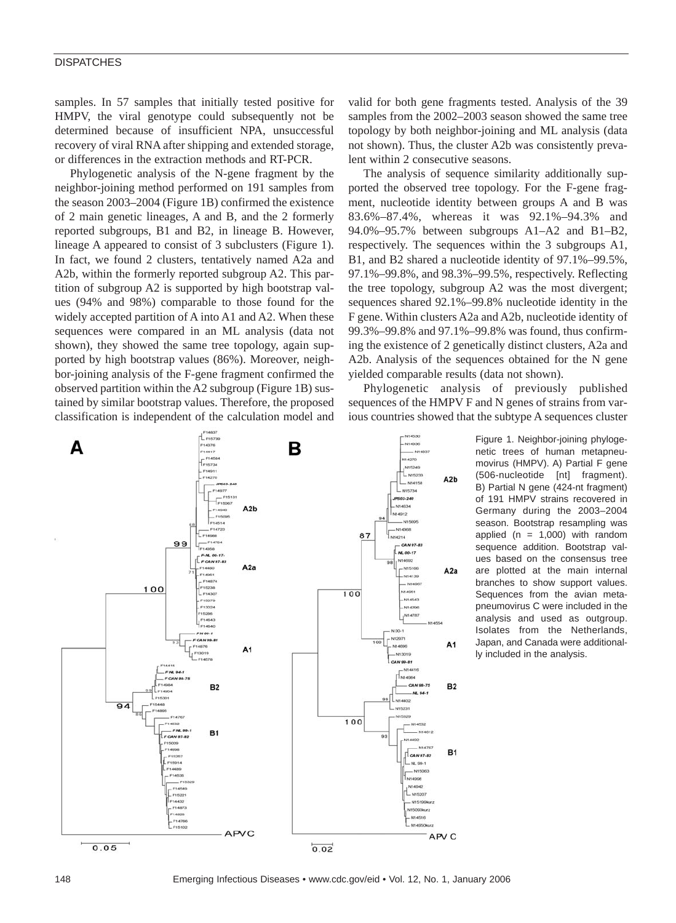### **DISPATCHES**

samples. In 57 samples that initially tested positive for HMPV, the viral genotype could subsequently not be determined because of insufficient NPA, unsuccessful recovery of viral RNA after shipping and extended storage, or differences in the extraction methods and RT-PCR.

Phylogenetic analysis of the N-gene fragment by the neighbor-joining method performed on 191 samples from the season 2003–2004 (Figure 1B) confirmed the existence of 2 main genetic lineages, A and B, and the 2 formerly reported subgroups, B1 and B2, in lineage B. However, lineage A appeared to consist of 3 subclusters (Figure 1). In fact, we found 2 clusters, tentatively named A2a and A2b, within the formerly reported subgroup A2. This partition of subgroup A2 is supported by high bootstrap values (94% and 98%) comparable to those found for the widely accepted partition of A into A1 and A2. When these sequences were compared in an ML analysis (data not shown), they showed the same tree topology, again supported by high bootstrap values (86%). Moreover, neighbor-joining analysis of the F-gene fragment confirmed the observed partition within the A2 subgroup (Figure 1B) sustained by similar bootstrap values. Therefore, the proposed classification is independent of the calculation model and

valid for both gene fragments tested. Analysis of the 39 samples from the 2002–2003 season showed the same tree topology by both neighbor-joining and ML analysis (data not shown). Thus, the cluster A2b was consistently prevalent within 2 consecutive seasons.

The analysis of sequence similarity additionally supported the observed tree topology. For the F-gene fragment, nucleotide identity between groups A and B was 83.6%–87.4%, whereas it was 92.1%–94.3% and 94.0%–95.7% between subgroups A1–A2 and B1–B2, respectively. The sequences within the 3 subgroups A1, B1, and B2 shared a nucleotide identity of 97.1%–99.5%, 97.1%–99.8%, and 98.3%–99.5%, respectively. Reflecting the tree topology, subgroup A2 was the most divergent; sequences shared 92.1%–99.8% nucleotide identity in the F gene. Within clusters A2a and A2b, nucleotide identity of 99.3%–99.8% and 97.1%–99.8% was found, thus confirming the existence of 2 genetically distinct clusters, A2a and A2b. Analysis of the sequences obtained for the N gene yielded comparable results (data not shown).

Phylogenetic analysis of previously published sequences of the HMPV F and N genes of strains from various countries showed that the subtype A sequences cluster



Figure 1. Neighbor-joining phylogenetic trees of human metapneumovirus (HMPV). A) Partial F gene (506-nucleotide [nt] fragment). B) Partial N gene (424-nt fragment) of 191 HMPV strains recovered in Germany during the 2003–2004 season. Bootstrap resampling was applied ( $n = 1,000$ ) with random sequence addition. Bootstrap values based on the consensus tree are plotted at the main internal branches to show support values. Sequences from the avian metapneumovirus C were included in the analysis and used as outgroup. Isolates from the Netherlands, Japan, and Canada were additionally included in the analysis.

148 Emerging Infectious Diseases • www.cdc.gov/eid • Vol. 12, No. 1, January 2006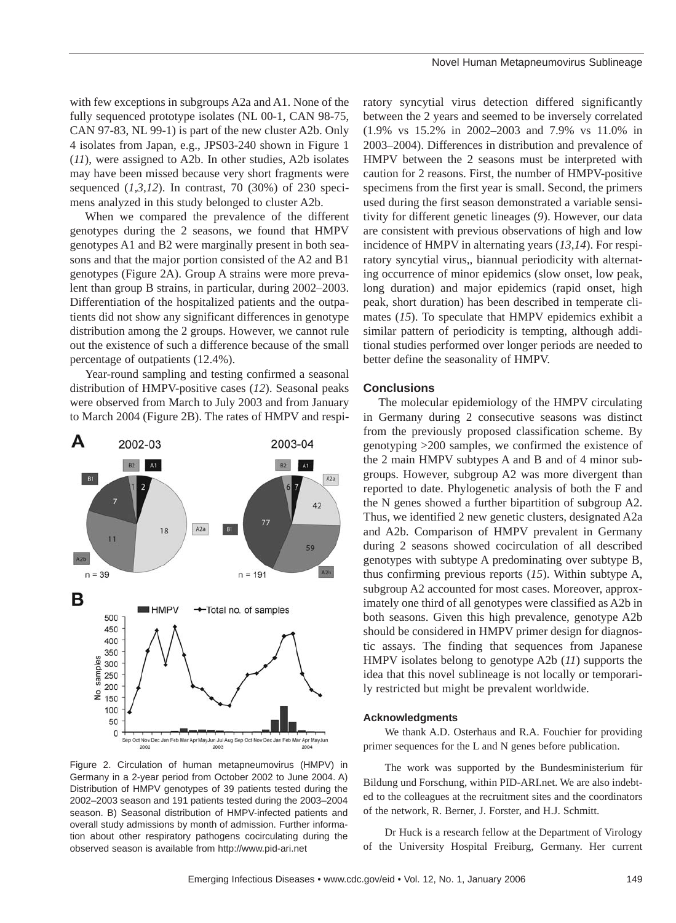with few exceptions in subgroups A2a and A1. None of the fully sequenced prototype isolates (NL 00-1, CAN 98-75, CAN 97-83, NL 99-1) is part of the new cluster A2b. Only 4 isolates from Japan, e.g., JPS03-240 shown in Figure 1 (*11*), were assigned to A2b. In other studies, A2b isolates may have been missed because very short fragments were sequenced (*1,3,12*). In contrast, 70 (30%) of 230 specimens analyzed in this study belonged to cluster A2b.

When we compared the prevalence of the different genotypes during the 2 seasons, we found that HMPV genotypes A1 and B2 were marginally present in both seasons and that the major portion consisted of the A2 and B1 genotypes (Figure 2A). Group A strains were more prevalent than group B strains, in particular, during 2002–2003. Differentiation of the hospitalized patients and the outpatients did not show any significant differences in genotype distribution among the 2 groups. However, we cannot rule out the existence of such a difference because of the small percentage of outpatients (12.4%).

Year-round sampling and testing confirmed a seasonal distribution of HMPV-positive cases (*12*). Seasonal peaks were observed from March to July 2003 and from January to March 2004 (Figure 2B). The rates of HMPV and respi-



Figure 2. Circulation of human metapneumovirus (HMPV) in Germany in a 2-year period from October 2002 to June 2004. A) Distribution of HMPV genotypes of 39 patients tested during the 2002–2003 season and 191 patients tested during the 2003–2004 season. B) Seasonal distribution of HMPV-infected patients and overall study admissions by month of admission. Further information about other respiratory pathogens cocirculating during the observed season is available from http://www.pid-ari.net

ratory syncytial virus detection differed significantly between the 2 years and seemed to be inversely correlated (1.9% vs 15.2% in 2002–2003 and 7.9% vs 11.0% in 2003–2004). Differences in distribution and prevalence of HMPV between the 2 seasons must be interpreted with caution for 2 reasons. First, the number of HMPV-positive specimens from the first year is small. Second, the primers used during the first season demonstrated a variable sensitivity for different genetic lineages (*9*). However, our data are consistent with previous observations of high and low incidence of HMPV in alternating years (*13*,*14*). For respiratory syncytial virus,, biannual periodicity with alternating occurrence of minor epidemics (slow onset, low peak, long duration) and major epidemics (rapid onset, high peak, short duration) has been described in temperate climates (*15*). To speculate that HMPV epidemics exhibit a similar pattern of periodicity is tempting, although additional studies performed over longer periods are needed to better define the seasonality of HMPV.

## **Conclusions**

The molecular epidemiology of the HMPV circulating in Germany during 2 consecutive seasons was distinct from the previously proposed classification scheme. By genotyping >200 samples, we confirmed the existence of the 2 main HMPV subtypes A and B and of 4 minor subgroups. However, subgroup A2 was more divergent than reported to date. Phylogenetic analysis of both the F and the N genes showed a further bipartition of subgroup A2. Thus, we identified 2 new genetic clusters, designated A2a and A2b. Comparison of HMPV prevalent in Germany during 2 seasons showed cocirculation of all described genotypes with subtype A predominating over subtype B, thus confirming previous reports (*15*). Within subtype A, subgroup A2 accounted for most cases. Moreover, approximately one third of all genotypes were classified as A2b in both seasons. Given this high prevalence, genotype A2b should be considered in HMPV primer design for diagnostic assays. The finding that sequences from Japanese HMPV isolates belong to genotype A2b (*11*) supports the idea that this novel sublineage is not locally or temporarily restricted but might be prevalent worldwide.

#### **Acknowledgments**

We thank A.D. Osterhaus and R.A. Fouchier for providing primer sequences for the L and N genes before publication.

The work was supported by the Bundesministerium für Bildung und Forschung, within PID-ARI.net. We are also indebted to the colleagues at the recruitment sites and the coordinators of the network, R. Berner, J. Forster, and H.J. Schmitt.

Dr Huck is a research fellow at the Department of Virology of the University Hospital Freiburg, Germany. Her current